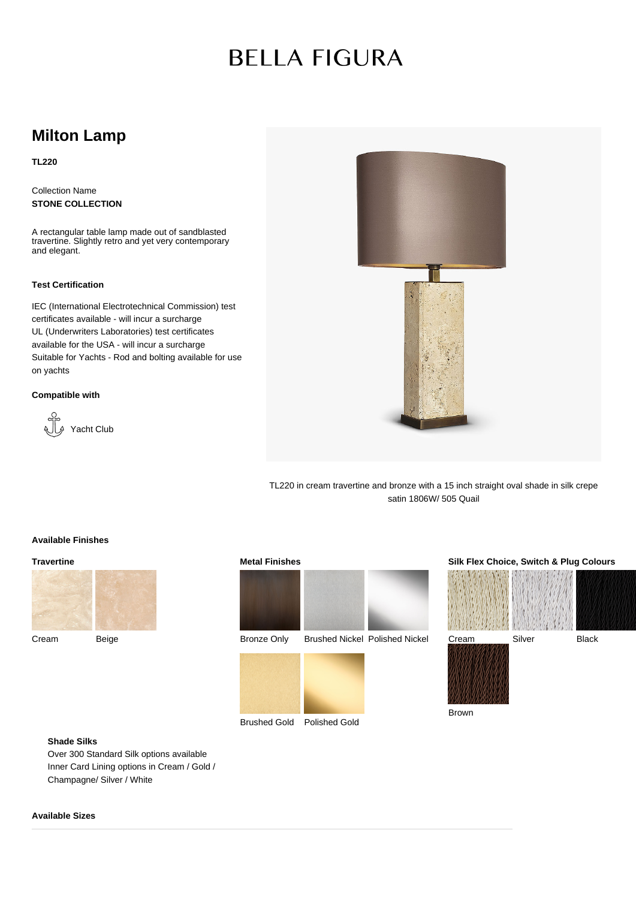# **BELLA FIGURA**

# **Milton Lamp**

**TL220**

Collection Name **STONE COLLECTION**

A rectangular table lamp made out of sandblasted travertine. Slightly retro and yet very contemporary and elegant.

#### **Test Certification**

IEC (International Electrotechnical Commission) test certificates available - will incur a surcharge UL (Underwriters Laboratories) test certificates available for the USA - will incur a surcharge Suitable for Yachts - Rod and bolting available for use on yachts

### **Compatible with**





TL220 in cream travertine and bronze with a 15 inch straight oval shade in silk crepe satin 1806W/ 505 Quail

Brown

# **Available Finishes**

**Travertine**



Cream Beige





# **Silk Flex Choice, Switch & Plug Colours**



# **Shade Silks**

Over 300 Standard Silk options available Inner Card Lining options in Cream / Gold / Champagne/ Silver / White

### **Available Sizes**